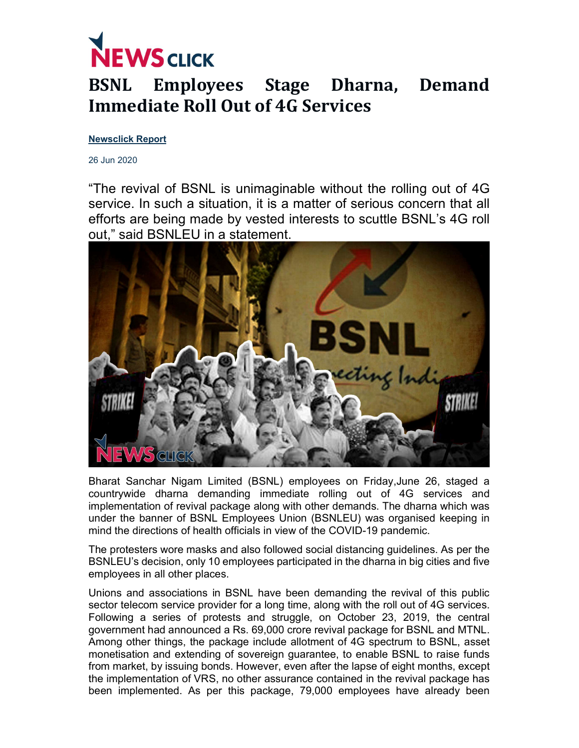

## BSNL Employees Stage Dharna, Demand Immediate Roll Out of 4G Services

## Newsclick Report

26 Jun 2020

"The revival of BSNL is unimaginable without the rolling out of 4G service. In such a situation, it is a matter of serious concern that all efforts are being made by vested interests to scuttle BSNL's 4G roll out," said BSNLEU in a statement.



Bharat Sanchar Nigam Limited (BSNL) employees on Friday,June 26, staged a countrywide dharna demanding immediate rolling out of 4G services and implementation of revival package along with other demands. The dharna which was under the banner of BSNL Employees Union (BSNLEU) was organised keeping in mind the directions of health officials in view of the COVID-19 pandemic.

The protesters wore masks and also followed social distancing guidelines. As per the BSNLEU's decision, only 10 employees participated in the dharna in big cities and five employees in all other places.

Unions and associations in BSNL have been demanding the revival of this public sector telecom service provider for a long time, along with the roll out of 4G services. Following a series of protests and struggle, on October 23, 2019, the central government had announced a Rs. 69,000 crore revival package for BSNL and MTNL. Among other things, the package include allotment of 4G spectrum to BSNL, asset monetisation and extending of sovereign guarantee, to enable BSNL to raise funds from market, by issuing bonds. However, even after the lapse of eight months, except the implementation of VRS, no other assurance contained in the revival package has been implemented. As per this package, 79,000 employees have already been